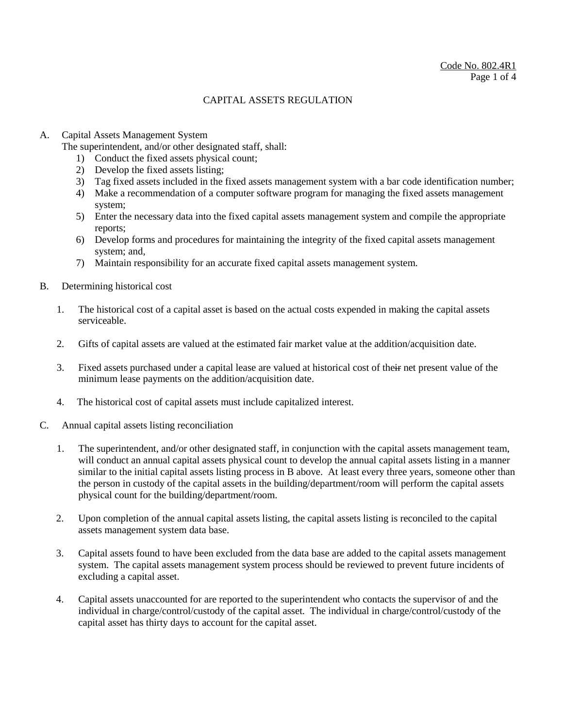#### A. Capital Assets Management System

The superintendent, and/or other designated staff, shall:

- 1) Conduct the fixed assets physical count;
- 2) Develop the fixed assets listing;
- 3) Tag fixed assets included in the fixed assets management system with a bar code identification number;
- 4) Make a recommendation of a computer software program for managing the fixed assets management system;
- 5) Enter the necessary data into the fixed capital assets management system and compile the appropriate reports;
- 6) Develop forms and procedures for maintaining the integrity of the fixed capital assets management system; and,
- 7) Maintain responsibility for an accurate fixed capital assets management system.

#### B. Determining historical cost

- 1. The historical cost of a capital asset is based on the actual costs expended in making the capital assets serviceable.
- 2. Gifts of capital assets are valued at the estimated fair market value at the addition/acquisition date.
- 3. Fixed assets purchased under a capital lease are valued at historical cost of their net present value of the minimum lease payments on the addition/acquisition date.
- 4. The historical cost of capital assets must include capitalized interest.
- C. Annual capital assets listing reconciliation
	- 1. The superintendent, and/or other designated staff, in conjunction with the capital assets management team, will conduct an annual capital assets physical count to develop the annual capital assets listing in a manner similar to the initial capital assets listing process in B above. At least every three years, someone other than the person in custody of the capital assets in the building/department/room will perform the capital assets physical count for the building/department/room.
	- 2. Upon completion of the annual capital assets listing, the capital assets listing is reconciled to the capital assets management system data base.
	- 3. Capital assets found to have been excluded from the data base are added to the capital assets management system. The capital assets management system process should be reviewed to prevent future incidents of excluding a capital asset.
	- 4. Capital assets unaccounted for are reported to the superintendent who contacts the supervisor of and the individual in charge/control/custody of the capital asset. The individual in charge/control/custody of the capital asset has thirty days to account for the capital asset.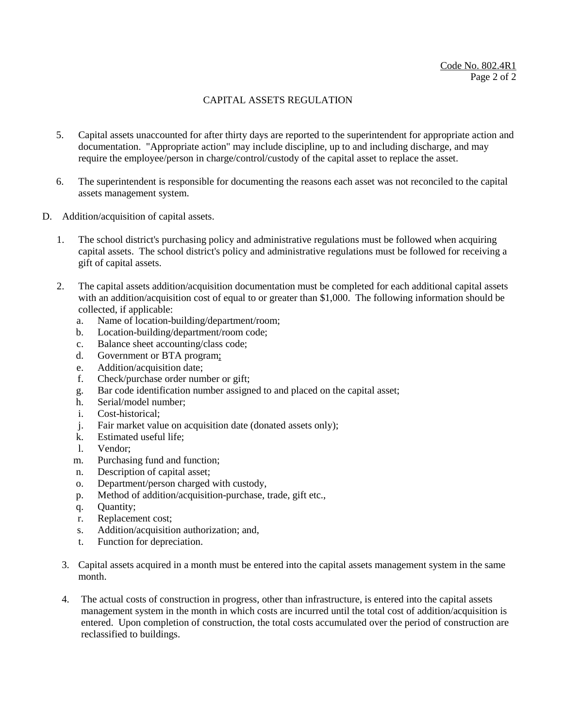- 5. Capital assets unaccounted for after thirty days are reported to the superintendent for appropriate action and documentation. "Appropriate action" may include discipline, up to and including discharge, and may require the employee/person in charge/control/custody of the capital asset to replace the asset.
- 6. The superintendent is responsible for documenting the reasons each asset was not reconciled to the capital assets management system.
- D. Addition/acquisition of capital assets.
	- 1. The school district's purchasing policy and administrative regulations must be followed when acquiring capital assets. The school district's policy and administrative regulations must be followed for receiving a gift of capital assets.
	- 2. The capital assets addition/acquisition documentation must be completed for each additional capital assets with an addition/acquisition cost of equal to or greater than \$1,000. The following information should be collected, if applicable:
		- a. Name of location-building/department/room;
		- b. Location-building/department/room code;
		- c. Balance sheet accounting/class code;
		- d. Government or BTA program;
		- e. Addition/acquisition date;
		- f. Check/purchase order number or gift;
		- g. Bar code identification number assigned to and placed on the capital asset;
		- h. Serial/model number;
		- i. Cost-historical;
		- j. Fair market value on acquisition date (donated assets only);
		- k. Estimated useful life;
		- l. Vendor;
		- m. Purchasing fund and function;
		- n. Description of capital asset;
		- o. Department/person charged with custody,
		- p. Method of addition/acquisition-purchase, trade, gift etc.,
		- q. Quantity;
		- r. Replacement cost;
		- s. Addition/acquisition authorization; and,
		- t. Function for depreciation.
		- 3. Capital assets acquired in a month must be entered into the capital assets management system in the same month.
	- 4. The actual costs of construction in progress, other than infrastructure, is entered into the capital assets management system in the month in which costs are incurred until the total cost of addition/acquisition is entered. Upon completion of construction, the total costs accumulated over the period of construction are reclassified to buildings.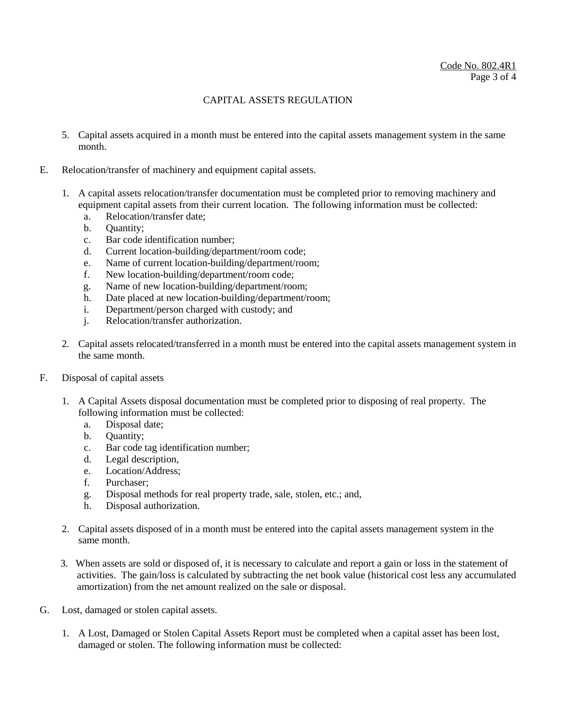- 5. Capital assets acquired in a month must be entered into the capital assets management system in the same month.
- E. Relocation/transfer of machinery and equipment capital assets.
	- 1. A capital assets relocation/transfer documentation must be completed prior to removing machinery and equipment capital assets from their current location. The following information must be collected:
		- a. Relocation/transfer date;
		- b. Quantity;
		- c. Bar code identification number;
		- d. Current location-building/department/room code;
		- e. Name of current location-building/department/room;
		- f. New location-building/department/room code;
		- g. Name of new location-building/department/room;
		- h. Date placed at new location-building/department/room;
		- i. Department/person charged with custody; and
		- j. Relocation/transfer authorization.
	- 2. Capital assets relocated/transferred in a month must be entered into the capital assets management system in the same month.
- F. Disposal of capital assets
	- 1. A Capital Assets disposal documentation must be completed prior to disposing of real property. The following information must be collected:
		- a. Disposal date;
		- b. Quantity;
		- c. Bar code tag identification number;
		- d. Legal description,
		- e. Location/Address;
		- f. Purchaser;
		- g. Disposal methods for real property trade, sale, stolen, etc.; and,
		- h. Disposal authorization.
	- 2. Capital assets disposed of in a month must be entered into the capital assets management system in the same month.
	- 3. When assets are sold or disposed of, it is necessary to calculate and report a gain or loss in the statement of activities. The gain/loss is calculated by subtracting the net book value (historical cost less any accumulated amortization) from the net amount realized on the sale or disposal.
- G. Lost, damaged or stolen capital assets.
	- 1. A Lost, Damaged or Stolen Capital Assets Report must be completed when a capital asset has been lost, damaged or stolen. The following information must be collected: